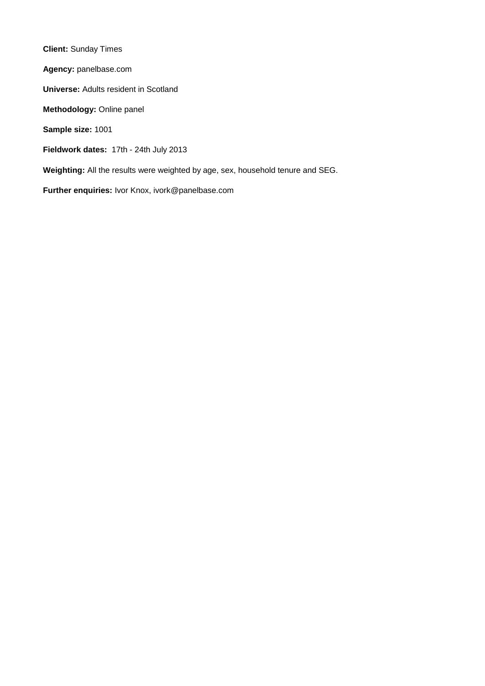**Client:** Sunday Times **Agency:** panelbase.com **Universe:** Adults resident in Scotland **Methodology:** Online panel **Sample size:** 1001 **Fieldwork dates:** 17th - 24th July 2013 **Weighting:** All the results were weighted by age, sex, household tenure and SEG. **Further enquiries:** Ivor Knox, ivork@panelbase.com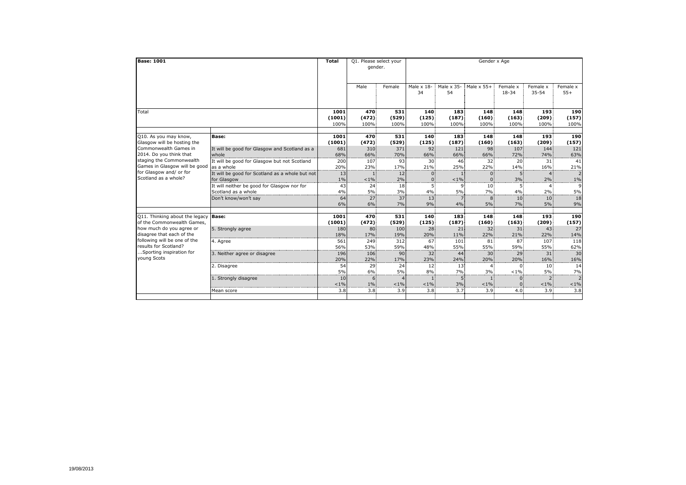| <b>Base: 1001</b>                                    |                                                 | <b>Total</b>  | Q1. Please select your |              | Gender x Age      |                  |                                    |                            |                  |                           |  |  |
|------------------------------------------------------|-------------------------------------------------|---------------|------------------------|--------------|-------------------|------------------|------------------------------------|----------------------------|------------------|---------------------------|--|--|
|                                                      |                                                 |               | gender.                |              |                   |                  |                                    |                            |                  |                           |  |  |
|                                                      |                                                 |               |                        |              |                   |                  |                                    |                            |                  |                           |  |  |
|                                                      |                                                 |               | Male                   | Female       | Male $\times$ 18- |                  | Male $\times$ 35-Male $\times$ 55+ | Female x                   | Female x         | Female x                  |  |  |
|                                                      |                                                 |               |                        |              | 34                | 54               |                                    | 18-34                      | $35 - 54$        | $55+$                     |  |  |
|                                                      |                                                 |               |                        |              |                   |                  |                                    |                            |                  |                           |  |  |
| Total                                                |                                                 | 1001          | 470                    | 531          | 140               | 183              | 148                                | 148                        | 193              | 190                       |  |  |
|                                                      |                                                 | (1001)        | (472)                  | (529)        | (125)             | (187)            | (160)                              | (163)                      | (209)            | (157)                     |  |  |
|                                                      |                                                 | 100%          | 100%                   | 100%         | 100%              | 100%             | 100%                               | 100%                       | 100%             | 100%                      |  |  |
|                                                      |                                                 |               |                        |              |                   |                  |                                    |                            |                  |                           |  |  |
| Q10. As you may know,                                | Base:                                           | 1001          | 470                    | 531          | 140               | 183              | 148                                | 148                        | 193              | 190                       |  |  |
| Glasgow will be hosting the<br>Commonwealth Games in | It will be good for Glasgow and Scotland as a   | (1001)<br>681 | (472)<br>310           | (529)<br>371 | (125)<br>92       | (187)<br>121     | (160)<br>98                        | (163)<br>107               | (209)<br>144     | (157)<br>121              |  |  |
| 2014. Do you think that                              | whole                                           | 68%           | 66%                    | 70%          | 66%               | 66%              | 66%                                | 72%                        | 74%              | 63%                       |  |  |
| staging the Commonwealth                             | It will be good for Glasgow but not Scotland    | 200           | 107                    | 93           | 30                | 46.              | 32                                 | 20                         | 31               | 41                        |  |  |
| Games in Glasgow will be good                        | as a whole                                      | 20%           | 23%                    | 17%          | 21%               | 25%              | 22%                                | 14%                        | 16%              | 21%                       |  |  |
| for Glasgow and/ or for                              | It will be good for Scotland as a whole but not | 13            | 1.                     | 12           | $0^{\circ}$       | 1.               | $\mathbf{0}$                       | 5.                         | $\overline{4}$   | $\overline{2}$            |  |  |
| Scotland as a whole?                                 | for Glasgow                                     | $1\%$         | $< 1\%$                | 2%           | $\Omega$ :        | $< 1\%$          | $\Omega$ :                         | 3%                         | 2%               | $1\%$                     |  |  |
|                                                      | It will neither be good for Glasgow nor for     | 43            | 24                     | 18           | 5.                | 9.               | 10 <sup>1</sup>                    | 51                         |                  | 9                         |  |  |
|                                                      | Scotland as a whole                             | 4%            | 5%                     | 3%           | 4%                | 5%               | 7%                                 | 4%                         | 2%               | 5%                        |  |  |
|                                                      | Don't know/won't say                            | 64            | 27 <sup>1</sup>        | 37           | 13 <sup>1</sup>   | $7^{\circ}$      | 8                                  | 10 <sup>1</sup>            | 10 <sup>1</sup>  | 18                        |  |  |
|                                                      |                                                 | 6%            | 6%                     | 7%           | 9%                | 4%               | 5%                                 | 7%                         | 5%               | 9%                        |  |  |
| Q11. Thinking about the legacy                       | Base:                                           | 1001          | 470                    | 531          | 140               | 183              | 148                                | 148                        | 193              | 190                       |  |  |
| of the Commonwealth Games,                           |                                                 | (1001)        | (472)                  | (529)        | (125)             | (187)            | (160)                              | (163)                      | (209)            | (157)                     |  |  |
| how much do you agree or                             | 5. Strongly agree                               | 180           | 80                     | 100          | 28                | 21               | 32                                 | 31                         | 43               | 27                        |  |  |
| disagree that each of the                            |                                                 | 18%           | 17%                    | 19%          | 20%               | 11%              | 22%                                | 21%                        | 22%              | 14%                       |  |  |
| following will be one of the                         | 4. Agree                                        | 561           | 249                    | 312          | 67                | 101              | 81                                 | 87                         | 107              | 118                       |  |  |
| results for Scotland?                                |                                                 | 56%           | 53%                    | 59%          | 48%               | 55%              | 55%                                | 59%                        | 55%              | 62%                       |  |  |
| Sporting inspiration for                             | 3. Neither agree or disagree                    | 196           | 106                    | 90           | 32                | 44               | 30 <sub>1</sub>                    | 29                         | 31               | 30                        |  |  |
| young Scots                                          |                                                 | 20%           | 22%                    | 17%          | 23%               | 24%              | 20%                                | 20%                        | 16%              | 16%                       |  |  |
|                                                      | 2. Disagree                                     | 54            | 29                     | 24           | 12                | 13               | 4                                  | $\Omega$                   | 10 <sup>1</sup>  | 14                        |  |  |
|                                                      |                                                 | 5%            | 6%                     | 5%           | 8%                | $7\%$            | 3%                                 | $< 1\%$                    | 5%               | $7\%$                     |  |  |
|                                                      | 1. Strongly disagree                            | 10<br>$< 1\%$ | 6.<br>$1\%$            | Δ            | $< 1\%$           | 5.<br>3%         | $< 1\%$                            | $\overline{0}$<br>$\Omega$ | 2<br>$< 1\%$     | $\overline{2}$<br>$< 1\%$ |  |  |
|                                                      |                                                 |               |                        | $< 1\%$      |                   |                  |                                    |                            |                  |                           |  |  |
|                                                      | Mean score                                      | 3.8           | 3.8                    | 3.9          | 3.8               | 3.7 <sup>1</sup> | 3.9 <sup>°</sup>                   | 4.0                        | 3.9 <sub>1</sub> | 3.8                       |  |  |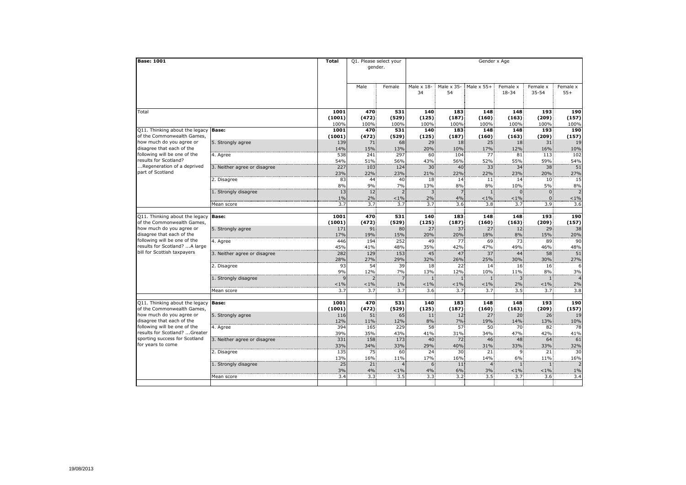| <b>Base: 1001</b>                                                                                                                                |                              | Total      | Q1. Please select your<br>gender. |                | Gender x Age            |                         |                   |                   |                   |                          |  |  |
|--------------------------------------------------------------------------------------------------------------------------------------------------|------------------------------|------------|-----------------------------------|----------------|-------------------------|-------------------------|-------------------|-------------------|-------------------|--------------------------|--|--|
|                                                                                                                                                  |                              |            | Male                              | Female         | Male $\times$ 18-<br>34 | Male $\times$ 35-<br>54 | Male $\times$ 55+ | Female x<br>18-34 | Female x<br>35-54 | Female x<br>$55+$        |  |  |
| Total                                                                                                                                            |                              | 1001       | 470                               | 531            | 140                     | 183                     | 148               | 148               | 193               | 190                      |  |  |
|                                                                                                                                                  |                              | (1001)     | (472)                             | (529)          | (125)                   | (187)                   | (160)             | (163)             | (209)             | (157)                    |  |  |
|                                                                                                                                                  |                              | 100%       | 100%                              | 100%           | 100%                    | 100%                    | 100%              | 100%              | 100%              | 100%                     |  |  |
| Q11. Thinking about the legacy                                                                                                                   | <b>Base:</b>                 | 1001       | 470                               | 531            | 140                     | 183                     | 148               | 148               | 193               | 190                      |  |  |
| of the Commonwealth Games,                                                                                                                       |                              | (1001)     | (472)                             | (529)          | (125)                   | (187)                   | (160)             | (163)             | (209)             | (157)                    |  |  |
| how much do you agree or<br>disagree that each of the                                                                                            | 5. Strongly agree            | 139        | 71                                | 68             | 29                      | 18                      | 25                | 18                | 31                | 19                       |  |  |
| following will be one of the                                                                                                                     |                              | 14%<br>538 | 15%<br>241                        | 13%<br>297     | 20%<br>60               | 10%<br>104              | 17%<br>77         | 12%<br>81         | 16%               | 10%<br>102               |  |  |
| results for Scotland?                                                                                                                            | 4. Agree                     | 54%        | 51%                               | 56%            | 43%                     | 56%                     | 52%               | 55%               | 113<br>59%        | 54%                      |  |  |
| Regeneration of a deprived                                                                                                                       | 3. Neither agree or disagree | 227        | 103                               | 124            | 30 <sup>1</sup>         | 40                      | 33 <sup>1</sup>   | 34                | 38                | 51                       |  |  |
| part of Scotland                                                                                                                                 |                              | 23%        | 22%                               | 23%            | 21%                     | 22%                     | 22%               | 23%               | 20%               | 27%                      |  |  |
|                                                                                                                                                  | 2. Disagree                  | 83         | 44                                | 40             | 18                      | 14                      | 11                | 14                | 10 <sup>1</sup>   | 15                       |  |  |
|                                                                                                                                                  |                              | 8%         | 9%                                | 7%             | 13%                     | 8%                      | 8%                | 10%               | 5%                | 8%                       |  |  |
|                                                                                                                                                  | 1. Strongly disagree         | 13         | 12 <sup>1</sup>                   |                | 3:                      | 7:                      | 1                 | $\Omega$          | $\overline{0}$    | $\overline{2}$           |  |  |
|                                                                                                                                                  |                              | 1%         | 2%                                | $< 1\%$        | 2%                      | 4%                      | $< 1\%$           | $< 1\%$           | $\mathbf{0}$      | $1\%$                    |  |  |
|                                                                                                                                                  | Mean score                   | 3.7        | 3.7                               | 3.7            | 3.7                     | 3.6                     | 3.8               | 3.7               | 3.9 <sub>1</sub>  | 3.6                      |  |  |
|                                                                                                                                                  |                              |            |                                   |                |                         |                         |                   |                   |                   |                          |  |  |
| Q11. Thinking about the legacy                                                                                                                   | <b>Base:</b>                 | 1001       | 470                               | 531            | 140                     | 183                     | 148               | 148               | 193               | 190                      |  |  |
| of the Commonwealth Games,                                                                                                                       |                              | (1001)     | (472)                             | (529)          | (125)                   | (187)                   | (160)             | (163)             | (209)             | (157)                    |  |  |
| how much do you agree or                                                                                                                         | 5. Strongly agree            | 171        | 91                                | 80             | 27                      | 37                      | 27                | 12                | 29                | 38                       |  |  |
| disagree that each of the                                                                                                                        |                              | 17%        | 19%                               | 15%            | 20%                     | 20%                     | 18%               | 8%                | 15%               | 20%                      |  |  |
| following will be one of the<br>results for Scotland? A large                                                                                    | 4. Agree                     | 446        | 194                               | 252            | 49                      | 77                      | 69                | 73                | 89                | 90                       |  |  |
| bill for Scottish taxpayers                                                                                                                      | 3. Neither agree or disagree | 45%<br>282 | 41%<br>129                        | 48%<br>153     | 35%<br>45               | 42%<br>47               | 47%<br>37         | 49%<br>44         | 46%<br>58         | 48%<br>51                |  |  |
|                                                                                                                                                  |                              | 28%        | 27%                               | 29%            | 32%                     | 26%                     | 25%               | 30%               | 30%               | 27%                      |  |  |
|                                                                                                                                                  | 2. Disagree                  | 93         | 54                                | 39             | 18                      | 22                      | 14                | 16                | 16                | 6                        |  |  |
|                                                                                                                                                  |                              | 9%         | 12%                               | 7%             | 13%                     | 12%                     | 10%               | 11%               | 8%                | 3%                       |  |  |
|                                                                                                                                                  | 1. Strongly disagree         | 9          | $2^{\frac{1}{2}}$                 |                |                         | $\mathbf{1}$            | $\mathbf{1}$      | 3                 | $\mathbf{1}$      |                          |  |  |
|                                                                                                                                                  |                              | $< 1\%$    | $< 1\%$                           | 1%             | $< 1\%$                 | $< 1\%$                 | $< 1\%$           | 2%                | $< 1\%$           | 2%                       |  |  |
|                                                                                                                                                  | Mean score                   | 3.7        | 3.7                               | 3.7            | 3.6                     | 3.7                     | 3.7               | 3.5               | 3.7               | 3.8                      |  |  |
|                                                                                                                                                  |                              |            |                                   |                |                         |                         |                   |                   |                   |                          |  |  |
| Q11. Thinking about the legacy                                                                                                                   | Base:                        | 1001       | 470                               | 531            | 140                     | 183                     | 148               | 148               | 193               | 190                      |  |  |
| of the Commonwealth Games,                                                                                                                       |                              | (1001)     | (472)                             | (529)          | (125)                   | (187)                   | (160)             | (163)             | (209)             | (157)                    |  |  |
| how much do you agree or                                                                                                                         | 5. Strongly agree            | 116        | 51                                | 65             | 11                      | 12 <sub>1</sub>         | 27                | 20 <sub>1</sub>   | 26                | 19                       |  |  |
| disagree that each of the<br>following will be one of the<br>results for Scotland? Greater<br>sporting success for Scotland<br>for years to come |                              | 12%        | 11%                               | 12%            | 8%                      | 7%                      | 19%               | 14%               | 13%               | 10%                      |  |  |
|                                                                                                                                                  | 4. Agree                     | 394        | 165                               | 229            | 58                      | 57                      | 50                | 70                | 82                | 78                       |  |  |
|                                                                                                                                                  |                              | 39%        | 35%                               | 43%            | 41%                     | 31%                     | 34%               | 47%               | 42%               | 41%                      |  |  |
|                                                                                                                                                  | 3. Neither agree or disagree | 331<br>33% | 158<br>34%                        | 173<br>33%     | 40<br>29%               | 72<br>40%               | 46<br>31%         | 48<br>33%         | 64<br>33%         | 61                       |  |  |
|                                                                                                                                                  | 2. Disagree                  | 135        | 75                                | 60             | 24                      | 30                      | 21                | 9.                | 21                | 32%<br>30                |  |  |
|                                                                                                                                                  |                              | 13%        | 16%                               | 11%            | 17%                     | 16%                     | 14%               | 6%                | 11%               | 16%                      |  |  |
|                                                                                                                                                  | 1. Strongly disagree         | 25         | 21                                | $\overline{4}$ | 6                       | 11                      | $\overline{4}$    | 1                 | $\mathbf{1}$      | $\overline{\phantom{0}}$ |  |  |
|                                                                                                                                                  |                              | 3%         | 4%                                | $< 1\%$        | 4%                      | 6%                      | 3%                | $< 1\%$           | $< 1\%$           | $1\%$                    |  |  |
|                                                                                                                                                  | Mean score                   | 3.4        | 3.3.                              | 3.5            | 3.3                     | 3.2.                    | 3.5               | 3.7               | 3.6               | 3.4                      |  |  |
|                                                                                                                                                  |                              |            |                                   |                |                         |                         |                   |                   |                   |                          |  |  |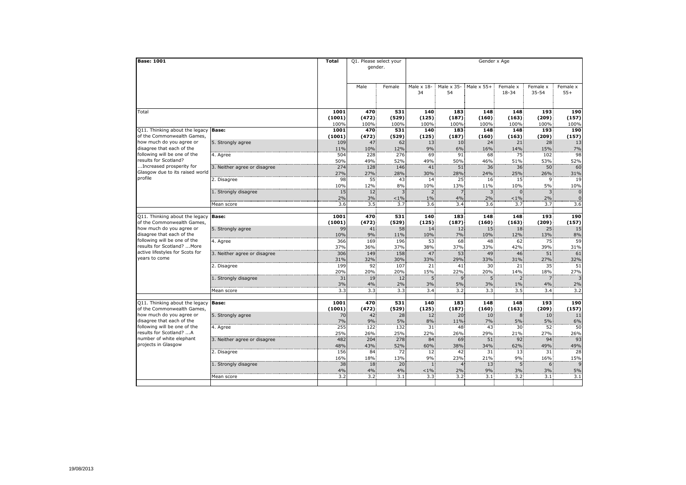| <b>Base: 1001</b>                                                                                                                              |                              | Total          | Q1. Please select your<br>gender. |                | Gender x Age              |                         |                       |                   |                   |                     |  |  |
|------------------------------------------------------------------------------------------------------------------------------------------------|------------------------------|----------------|-----------------------------------|----------------|---------------------------|-------------------------|-----------------------|-------------------|-------------------|---------------------|--|--|
|                                                                                                                                                |                              |                | Male                              | Female         | Male $\times$ 18-<br>34   | Male $\times$ 35-<br>54 | Male $\times$ 55+     | Female x<br>18-34 | Female x<br>35-54 | Female x<br>$55+$   |  |  |
| Total                                                                                                                                          |                              | 1001           | 470                               | 531            | 140                       | 183                     | 148                   | 148               | 193               | 190                 |  |  |
|                                                                                                                                                |                              | (1001)         | (472)                             | (529)          | (125)                     | (187)                   | (160)                 | (163)             | (209)             | (157)               |  |  |
|                                                                                                                                                |                              | 100%           | 100%                              | 100%           | 100%                      | 100%                    | 100%                  | 100%              | 100%              | 100%                |  |  |
| Q11. Thinking about the legacy<br>of the Commonwealth Games,                                                                                   | <b>Base:</b>                 | 1001<br>(1001) | 470<br>(472)                      | 531            | 140<br>(125)              | 183<br>(187)            | 148<br>(160)          | 148<br>(163)      | 193<br>(209)      | 190                 |  |  |
| how much do you agree or                                                                                                                       | 5. Strongly agree            | 109            | 47                                | (529)<br>62    | 13                        | 10 <sub>1</sub>         | 24                    | 21                | 28                | (157)<br>13         |  |  |
| disagree that each of the                                                                                                                      |                              | 11%            | 10%                               | 12%            | 9%                        | 6%                      | 16%                   | 14%               | 15%               | $7\%$               |  |  |
| following will be one of the                                                                                                                   | 4. Agree                     | 504            | 228                               | 276            | 69                        | 91                      | 68                    | 75                | 102               | 98                  |  |  |
| results for Scotland?                                                                                                                          |                              | 50%            | 49%                               | 52%            | 49%                       | 50%                     | 46%                   | 51%               | 53%               | 52%                 |  |  |
| Increased prosperity for                                                                                                                       | 3. Neither agree or disagree | 274            | 128                               | 146            | 41                        | 51                      | 36                    | 36 <sup>2</sup>   | 50                | 60                  |  |  |
| Glasgow due to its raised world                                                                                                                |                              | 27%            | 27%                               | 28%            | 30%                       | 28%                     | 24%                   | 25%               | 26%               | 31%                 |  |  |
| profile                                                                                                                                        | 2. Disagree                  | 98             | 55                                | 43             | 14                        | 25                      | 16                    | 15                | 9                 | 19                  |  |  |
|                                                                                                                                                |                              | 10%            | 12%                               | 8%             | 10%                       | 13%                     | 11%                   | 10%               | 5%                | 10%                 |  |  |
|                                                                                                                                                | 1. Strongly disagree         | 15             | 12 <sub>1</sub>                   | 3              | 2 <sup>1</sup>            | 7:                      | 3                     | $\Omega$          | 3                 | $\overline{0}$      |  |  |
|                                                                                                                                                |                              | 2%<br>3.6      | 3%<br>3.5                         | $< 1\%$<br>3.7 | $1\%$<br>3.6 <sup>2</sup> | 4%<br>3.4 <sup>2</sup>  | 2%<br>3.6             | $< 1\%$<br>3.7    | 2%<br>3.7         | $\mathbf{0}$<br>3.6 |  |  |
|                                                                                                                                                | Mean score                   |                |                                   |                |                           |                         |                       |                   |                   |                     |  |  |
| Q11. Thinking about the legacy                                                                                                                 | <b>Base:</b>                 | 1001           | 470                               | 531            | 140                       | 183                     | 148                   | 148               | 193               | 190                 |  |  |
| of the Commonwealth Games,                                                                                                                     |                              | (1001)         | (472)                             | (529)          | (125)                     | (187)                   | (160)                 | (163)             | (209)             | (157)               |  |  |
| how much do you agree or<br>disagree that each of the                                                                                          | 5. Strongly agree            | 99             | 41                                | 58             | 14                        | 12 <sup>1</sup>         | 15                    | 18                | 25                | 15                  |  |  |
|                                                                                                                                                |                              | 10%            | 9%                                | 11%            | 10%                       | 7%                      | 10%                   | 12%               | 13%               | 8%                  |  |  |
| following will be one of the                                                                                                                   | 4. Agree                     | 366            | 169                               | 196            | 53                        | 68                      | 48                    | 62                | 75                | 59                  |  |  |
| results for Scotland?  More<br>active lifestyles for Scots for                                                                                 |                              | 37%            | 36%                               | 37%            | 38%                       | 37%                     | 33%                   | 42%               | 39%               | 31%                 |  |  |
| years to come                                                                                                                                  | 3. Neither agree or disagree | 306            | 149                               | 158            | 47                        | 53                      | 49                    | 46                | 51                | 61                  |  |  |
|                                                                                                                                                | 2. Disagree                  | 31%<br>199     | 32%<br>92                         | 30%<br>107     | 33%<br>21                 | 29%<br>41               | 33%<br>30             | 31%<br>21         | 27%<br>35         | 32%<br>51           |  |  |
|                                                                                                                                                |                              | 20%            | 20%                               | 20%            | 15%                       | 22%                     | 20%                   | 14%               | 18%               | 27%                 |  |  |
|                                                                                                                                                | 1. Strongly disagree         | 31             | 19                                | 12             | 5.                        | 9 <sup>1</sup>          | 5                     | $\overline{2}$    | $\overline{7}$    |                     |  |  |
|                                                                                                                                                |                              | 3%             | 4%                                | 2%             | 3%                        | 5%                      | 3%                    | $1\%$             | 4%                | 2%                  |  |  |
|                                                                                                                                                | Mean score                   | 3.3            | 3.3                               | 3.3            | 3.4                       | 3.2                     | 3.3                   | 3.5               | 3.4.              | 3.2                 |  |  |
|                                                                                                                                                |                              |                |                                   |                |                           |                         |                       |                   |                   |                     |  |  |
| Q11. Thinking about the legacy                                                                                                                 | <b>Base:</b>                 | 1001           | 470                               | 531            | 140                       | 183                     | 148                   | 148               | 193               | 190                 |  |  |
| of the Commonwealth Games,<br>how much do you agree or<br>disagree that each of the<br>following will be one of the<br>results for Scotland? A |                              | (1001)         | (472)                             | (529)          | (125)                     | (187)                   | (160)                 | (163)             | (209)             | (157)               |  |  |
|                                                                                                                                                | 5. Strongly agree            | 70<br>7%       | 42<br>9%                          | 28<br>5%       | 12 <sub>1</sub><br>8%     | 20 <sup>1</sup><br>11%  | 10 <sup>1</sup><br>7% | 8<br>5%           | 10<br>5%          | 11<br>6%            |  |  |
|                                                                                                                                                | 4. Agree                     | 255            | 122                               | 132            | 31 <sup>1</sup>           | 48                      | 43                    | 30 <sup>1</sup>   | 52                | 50                  |  |  |
|                                                                                                                                                |                              | 25%            | 26%                               | 25%            | 22%                       | 26%                     | 29%                   | 21%               | 27%               | 26%                 |  |  |
| number of white elephant                                                                                                                       | 3. Neither agree or disagree | 482            | 204                               | 278            | 84                        | 69                      | 51                    | 92                | 94                | 93                  |  |  |
| projects in Glasgow                                                                                                                            |                              | 48%            | 43%                               | 52%            | 60%                       | 38%                     | 34%                   | 62%               | 49%               | 49%                 |  |  |
|                                                                                                                                                | 2. Disagree                  | 156            | 84                                | 72             | 12 <sup>1</sup>           | 42                      | 31                    | 13                | 31                | 28                  |  |  |
|                                                                                                                                                |                              | 16%            | 18%                               | 13%            | 9%                        | 23%                     | 21%                   | 9%                | 16%               | 15%                 |  |  |
|                                                                                                                                                | 1. Strongly disagree         | 38             | 18                                | 20             | $\mathbf{1}$              | $\overline{4}$          | 13                    | 5                 | 6                 | $\mathsf{q}$        |  |  |
|                                                                                                                                                |                              | 4%             | 4%                                | 4%             | $1\%$                     | 2%                      | 9%                    | 3%                | 3%                | 5%                  |  |  |
|                                                                                                                                                | Mean score                   | 3.2            | 3.2                               | 3.1            | 3.3 <sup>°</sup>          | 3.2                     | 3.1                   | 3.2               | 3.1               | 3.1                 |  |  |
|                                                                                                                                                |                              |                |                                   |                |                           |                         |                       |                   |                   |                     |  |  |